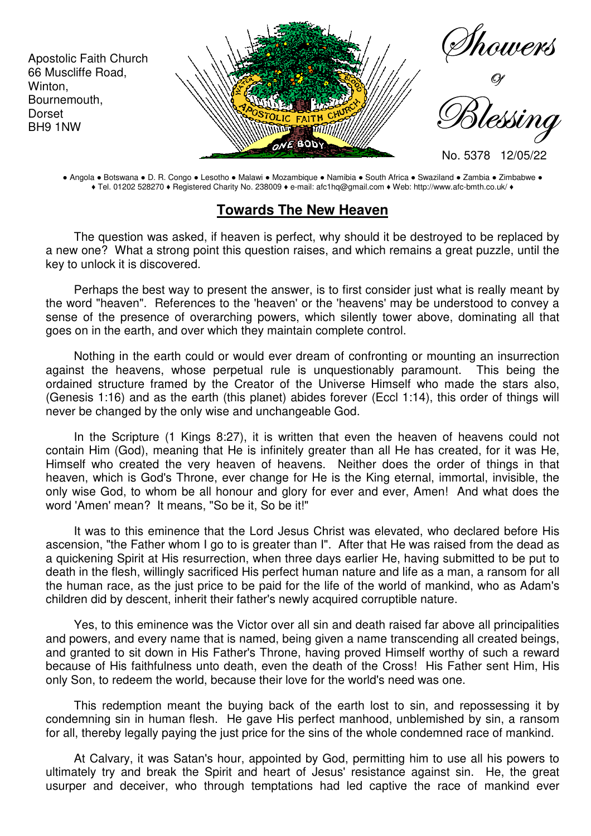

● Angola ● Botswana ● D. R. Congo ● Lesotho ● Malawi ● Mozambique ● Namibia ● South Africa ● Swaziland ● Zambia ● Zimbabwe ● ♦ Tel. 01202 528270 ♦ Registered Charity No. 238009 ♦ e-mail: afc1hq@gmail.com ♦ Web: http://www.afc-bmth.co.uk/ ♦

## **Towards The New Heaven**

The question was asked, if heaven is perfect, why should it be destroyed to be replaced by a new one? What a strong point this question raises, and which remains a great puzzle, until the key to unlock it is discovered.

Perhaps the best way to present the answer, is to first consider just what is really meant by the word "heaven". References to the 'heaven' or the 'heavens' may be understood to convey a sense of the presence of overarching powers, which silently tower above, dominating all that goes on in the earth, and over which they maintain complete control.

Nothing in the earth could or would ever dream of confronting or mounting an insurrection against the heavens, whose perpetual rule is unquestionably paramount. This being the ordained structure framed by the Creator of the Universe Himself who made the stars also, (Genesis 1:16) and as the earth (this planet) abides forever (Eccl 1:14), this order of things will never be changed by the only wise and unchangeable God.

In the Scripture (1 Kings 8:27), it is written that even the heaven of heavens could not contain Him (God), meaning that He is infinitely greater than all He has created, for it was He, Himself who created the very heaven of heavens. Neither does the order of things in that heaven, which is God's Throne, ever change for He is the King eternal, immortal, invisible, the only wise God, to whom be all honour and glory for ever and ever, Amen! And what does the word 'Amen' mean? It means, "So be it, So be it!"

It was to this eminence that the Lord Jesus Christ was elevated, who declared before His ascension, "the Father whom I go to is greater than I". After that He was raised from the dead as a quickening Spirit at His resurrection, when three days earlier He, having submitted to be put to death in the flesh, willingly sacrificed His perfect human nature and life as a man, a ransom for all the human race, as the just price to be paid for the life of the world of mankind, who as Adam's children did by descent, inherit their father's newly acquired corruptible nature.

Yes, to this eminence was the Victor over all sin and death raised far above all principalities and powers, and every name that is named, being given a name transcending all created beings, and granted to sit down in His Father's Throne, having proved Himself worthy of such a reward because of His faithfulness unto death, even the death of the Cross! His Father sent Him, His only Son, to redeem the world, because their love for the world's need was one.

This redemption meant the buying back of the earth lost to sin, and repossessing it by condemning sin in human flesh. He gave His perfect manhood, unblemished by sin, a ransom for all, thereby legally paying the just price for the sins of the whole condemned race of mankind.

At Calvary, it was Satan's hour, appointed by God, permitting him to use all his powers to ultimately try and break the Spirit and heart of Jesus' resistance against sin. He, the great usurper and deceiver, who through temptations had led captive the race of mankind ever